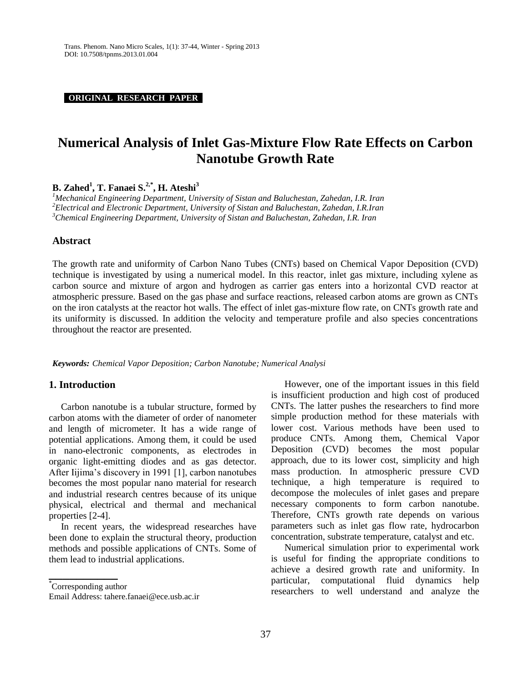**ORIGINAL RESEARCH PAPER .**

# **Numerical Analysis of Inlet Gas-Mixture Flow Rate Effects on Carbon Nanotube Growth Rate**

**B. Zahed<sup>1</sup> , T. Fanaei S. 2,\* , H. Ateshi<sup>3</sup>**

*<sup>1</sup>Mechanical Engineering Department, University of Sistan and Baluchestan, Zahedan, I.R. Iran <sup>2</sup>Electrical and Electronic Department, University of Sistan and Baluchestan, Zahedan, I.R.Iran <sup>3</sup>Chemical Engineering Department, University of Sistan and Baluchestan, Zahedan, I.R. Iran*

# **Abstract**

The growth rate and uniformity of Carbon Nano Tubes (CNTs) based on Chemical Vapor Deposition (CVD) technique is investigated by using a numerical model. In this reactor, inlet gas mixture, including xylene as carbon source and mixture of argon and hydrogen as carrier gas enters into a horizontal CVD reactor at atmospheric pressure. Based on the gas phase and surface reactions, released carbon atoms are grown as CNTs on the iron catalysts at the reactor hot walls. The effect of inlet gas-mixture flow rate, on CNTs growth rate and its uniformity is discussed. In addition the velocity and temperature profile and also species concentrations throughout the reactor are presented.

*Keywords: Chemical Vapor Deposition; Carbon Nanotube; Numerical Analysi*

# **1. Introduction**

Carbon nanotube is a tubular structure, formed by carbon atoms with the diameter of order of nanometer and length of micrometer. It has a wide range of potential applications. Among them, it could be used in nano-electronic components, as electrodes in organic light-emitting diodes and as gas detector. After Iijima's discovery in 1991 [1], carbon nanotubes becomes the most popular nano material for research and industrial research centres because of its unique physical, electrical and thermal and mechanical properties [2-4].

In recent years, the widespread researches have been done to explain the structural theory, production methods and possible applications of CNTs. Some of them lead to industrial applications.

**\_\_\_\_\_\_\_\_\_\_**

However, one of the important issues in this field is insufficient production and high cost of produced CNTs. The latter pushes the researchers to find more simple production method for these materials with lower cost. Various methods have been used to produce CNTs. Among them, Chemical Vapor Deposition (CVD) becomes the most popular approach, due to its lower cost, simplicity and high mass production. In atmospheric pressure CVD technique, a high temperature is required to decompose the molecules of inlet gases and prepare necessary components to form carbon nanotube. Therefore, CNTs growth rate depends on various parameters such as inlet gas flow rate, hydrocarbon concentration, substrate temperature, catalyst and etc.

Numerical simulation prior to experimental work is useful for finding the appropriate conditions to achieve a desired growth rate and uniformity. In particular, computational fluid dynamics help researchers to well understand and analyze the

<sup>\*</sup> Corresponding author

Email Address: tahere.fanaei@ece.usb.ac.ir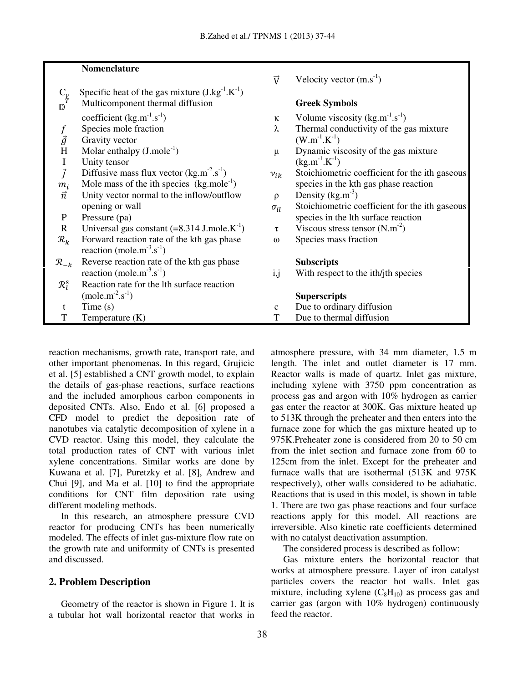# **Nomenclature**

- $\vec{V}$  $C_p$  Specific heat of the gas mixture (J.kg<sup>-1</sup>.K<sup>-1</sup>)
- $\mathbb{D}^T$ Multicomponent thermal diffusion **Greek Symbols**
- coefficient  $(kg.m^{-1}.s^{-1})$
- 
- $\vec{g}$  Gravity vector<br>H. Molar enthalpy
- Molar enthalpy  $(J.\text{mole}^{-1})$
- I Unity tensor
- $\vec{J}$  Diffusive mass flux vector (kg.m<sup>-2</sup>.s<sup>-1</sup>)
- $m_i$ Mole mass of the ith species  $(kg$ , mole<sup>-1</sup>)
- $\vec{n}$ Unity vector normal to the inflow/outflow  $\rho$ opening or wall  $\sigma_{il}$ <br>P Pressure (pa)
- 
- R Universal gas constant  $(=8.314 \text{ J.mole.K}^{-1})$
- $\mathcal{R}_k$  Forward reaction rate of the kth gas phase  $\omega$  Species mass fraction reaction (mole.m<sup>-3</sup>.s<sup>-1</sup>)
- $\mathcal{R}_{-k}$  Reverse reaction rate of the kth gas phase<br>reaction (mole.m<sup>-3</sup>.s<sup>-1</sup>) i,j With respectively reaction (mole.m<sup>-3</sup>.s<sup>-1</sup>
- $\mathcal{R}_I^{\rm S}$  Reaction rate for the lth surface reaction  $\text{mole.m}^{-2} \text{.s}^{-1}$ 
	-
- 

 $\vec{y}$  Velocity vector (m.s<sup>-1</sup>)

- )  $\kappa$  Volume viscosity (kg.m<sup>-1</sup>.s<sup>-1</sup>)
- $f$  Species mole fraction  $\lambda$  Thermal conductivity of the gas mixture  $(K^{-1})$ 
	- $\mu$  Dynamic viscosity of the gas mixture  $(K^{-1})$
	- )  $v_i$  $v_{ik}$  Stoichiometric coefficient for the ith gaseous ) species in the kth gas phase reaction
		- Density  $(kg.m^{-3})$
		- Stoichiometric coefficient for the ith gaseous species in the lth surface reaction
		- )  $\tau$  Viscous stress tensor (N.m<sup>-2</sup>)
			-

With respect to the ith/jth species

# ) **Superscripts**

| Time $(s)$ |  | Due to ordinary diffusion |  |
|------------|--|---------------------------|--|
|------------|--|---------------------------|--|

T Temperature (K) T Due to thermal diffusion

reaction mechanisms, growth rate, transport rate, and other important phenomenas. In this regard, Grujicic et al. [5] established a CNT growth model, to explain the details of gas-phase reactions, surface reactions and the included amorphous carbon components in deposited CNTs. Also, Endo et al. [6] proposed a CFD model to predict the deposition rate of nanotubes via catalytic decomposition of xylene in a CVD reactor. Using this model, they calculate the total production rates of CNT with various inlet xylene concentrations. Similar works are done by Kuwana et al. [7], Puretzky et al. [8], Andrew and Chui [9], and Ma et al. [10] to find the appropriate conditions for CNT film deposition rate using different modeling methods.

In this research, an atmosphere pressure CVD reactor for producing CNTs has been numerically modeled. The effects of inlet gas-mixture flow rate on the growth rate and uniformity of CNTs is presented and discussed.

# **2. Problem Description**

Geometry of the reactor is shown in Figure 1. It is a tubular hot wall horizontal reactor that works in atmosphere pressure, with 34 mm diameter, 1.5 m length. The inlet and outlet diameter is 17 mm. Reactor walls is made of quartz. Inlet gas mixture, including xylene with 3750 ppm concentration as process gas and argon with 10% hydrogen as carrier gas enter the reactor at 300K. Gas mixture heated up to 513K through the preheater and then enters into the furnace zone for which the gas mixture heated up to 975K.Preheater zone is considered from 20 to 50 cm from the inlet section and furnace zone from 60 to 125cm from the inlet. Except for the preheater and furnace walls that are isothermal (513K and 975K respectively), other walls considered to be adiabatic. Reactions that is used in this model, is shown in table 1. There are two gas phase reactions and four surface reactions apply for this model. All reactions are irreversible. Also kinetic rate coefficients determined with no catalyst deactivation assumption.

The considered process is described as follow:

Gas mixture enters the horizontal reactor that works at atmosphere pressure. Layer of iron catalyst particles covers the reactor hot walls. Inlet gas mixture, including xylene  $(C_8H_{10})$  as process gas and carrier gas (argon with 10% hydrogen) continuously feed the reactor.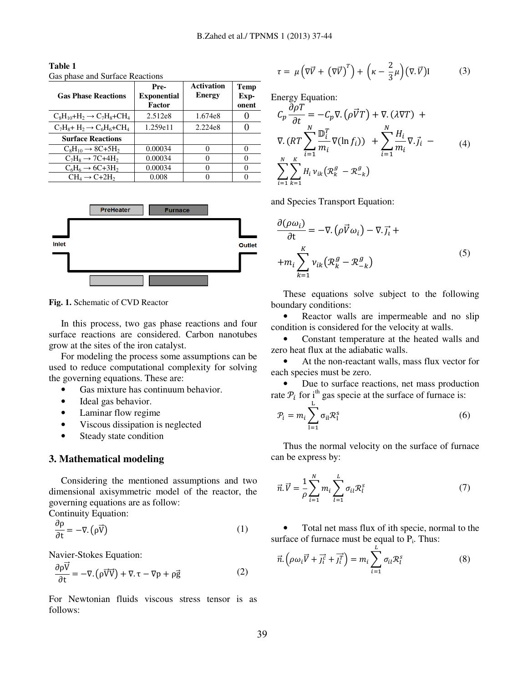| <b>Gas Phase Reactions</b>                                        | Pre-<br><b>Exponential</b><br>Factor | <b>Activation</b><br><b>Energy</b> | Temp<br>Exp-<br>onent |
|-------------------------------------------------------------------|--------------------------------------|------------------------------------|-----------------------|
| $C_8H_{10}+H_2 \rightarrow C_7H_8+CH_4$                           | 2.512e8                              | 1.674e8                            |                       |
| $C_7H_8$ + H <sub>2</sub> $\rightarrow$ $C_6H_6$ +CH <sub>4</sub> | 1.259e11                             | 2.224e8                            |                       |
| <b>Surface Reactions</b>                                          |                                      |                                    |                       |
| $C_8H_{10} \rightarrow 8C + 5H_2$                                 | 0.00034                              | 0                                  |                       |
| $C_7H_8 \rightarrow 7C+4H_2$                                      | 0.00034                              |                                    |                       |
| $C_6H_6 \rightarrow 6C+3H_2$                                      | 0.00034                              | 0                                  |                       |
| $CH_4 \rightarrow C+2H_2$                                         | 0.008                                |                                    |                       |

**Table 1**  Gas phase and Surface Reactions



**Fig. 1.** Schematic of CVD Reactor

In this process, two gas phase reactions and four surface reactions are considered. Carbon nanotubes grow at the sites of the iron catalyst.

For modeling the process some assumptions can be used to reduce computational complexity for solving the governing equations. These are:

- Gas mixture has continuum behavior.
- Ideal gas behavior.
- Laminar flow regime
- Viscous dissipation is neglected
- Steady state condition

### **3. Mathematical modeling**

Considering the mentioned assumptions and two dimensional axisymmetric model of the reactor, the governing equations are as follow:

Continuity Equation:  
\n
$$
\frac{\partial \rho}{\partial \rho} = \nabla (\vec{x})
$$

$$
\frac{\partial \rho}{\partial t} = -\nabla \cdot (\rho \vec{V})
$$
 (1)

Navier-Stokes Equation:

$$
\frac{\partial \rho \overline{V}}{\partial t} = -\nabla \cdot (\rho \overrightarrow{V} \overrightarrow{V}) + \nabla \cdot \tau - \nabla p + \rho \overrightarrow{g}
$$
 (2)

For Newtonian fluids viscous stress tensor is as follows:

$$
\tau = \mu \left( \nabla \vec{V} + \left( \nabla \vec{V} \right)^T \right) + \left( \kappa - \frac{2}{3} \mu \right) \left( \nabla \cdot \vec{V} \right) I \tag{3}
$$

Energy Equation:

$$
C_p \frac{\partial \rho T}{\partial t} = -C_p \nabla \cdot (\rho \vec{V} T) + \nabla \cdot (\lambda \nabla T) +
$$
  
 
$$
\nabla \cdot (RT \sum_{i=1}^N \frac{\mathbb{D}_i^T}{m_i} \nabla (\ln f_i)) + \sum_{i=1}^N \frac{H_i}{m_i} \nabla \cdot \vec{j}_i -
$$
  
 
$$
\sum_{i=1}^N \sum_{k=1}^K H_i v_{ik} (\mathcal{R}_k^g - \mathcal{R}_{-k}^g)
$$
 (4)

and Species Transport Equation:

$$
\frac{\partial(\rho\omega_i)}{\partial t} = -\nabla \cdot (\rho \vec{V} \omega_i) - \nabla \cdot \vec{J}_i ++ m_i \sum_{k=1}^{K} v_{ik} (\mathcal{R}_k^g - \mathcal{R}_{-k}^g)
$$
(5)

These equations solve subject to the following boundary conditions:

• Reactor walls are impermeable and no slip condition is considered for the velocity at walls.

• Constant temperature at the heated walls and zero heat flux at the adiabatic walls.

At the non-reactant walls, mass flux vector for each species must be zero.

• Due to surface reactions, net mass production rate  $P_i$  for  $i^{\text{th}}$  gas specie at the surface of furnace is:

$$
\mathcal{P}_i = m_i \sum_{l=1}^{L} \sigma_{il} \mathcal{R}_l^s \tag{6}
$$

Thus the normal velocity on the surface of furnace can be express by:

$$
\vec{n}.\vec{V} = \frac{1}{\rho} \sum_{i=1}^{N} m_i \sum_{l=1}^{L} \sigma_{il} \mathcal{R}_l^s \tag{7}
$$

• Total net mass flux of ith specie, normal to the surface of furnace must be equal to  $P_i$ . Thus:

$$
\vec{n}.\left(\rho\omega_i\vec{V}+\vec{j}_t^{\vec{c}}+\vec{j}_t^{\vec{T}}\right)=m_i\sum_{i=1}^L\sigma_{ii}\mathcal{R}_l^s\tag{8}
$$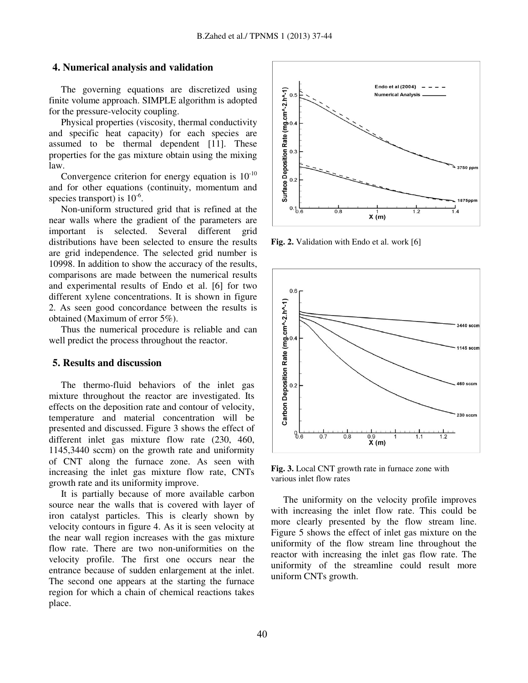# **4. Numerical analysis and validation**

The governing equations are discretized using finite volume approach. SIMPLE algorithm is adopted for the pressure-velocity coupling.

Physical properties (viscosity, thermal conductivity and specific heat capacity) for each species are assumed to be thermal dependent [11]. These properties for the gas mixture obtain using the mixing law.

Convergence criterion for energy equation is  $10^{-10}$ and for other equations (continuity, momentum and species transport) is  $10^{-6}$ .

Non-uniform structured grid that is refined at the near walls where the gradient of the parameters are important is selected. Several different grid distributions have been selected to ensure the results are grid independence. The selected grid number is 10998. In addition to show the accuracy of the results, comparisons are made between the numerical results and experimental results of Endo et al. [6] for two different xylene concentrations. It is shown in figure 2. As seen good concordance between the results is obtained (Maximum of error 5%).

Thus the numerical procedure is reliable and can well predict the process throughout the reactor.

# **5. Results and discussion**

The thermo-fluid behaviors of the inlet gas mixture throughout the reactor are investigated. Its effects on the deposition rate and contour of velocity, temperature and material concentration will be presented and discussed. Figure 3 shows the effect of different inlet gas mixture flow rate (230, 460, 1145,3440 sccm) on the growth rate and uniformity of CNT along the furnace zone. As seen with increasing the inlet gas mixture flow rate, CNTs growth rate and its uniformity improve.

It is partially because of more available carbon source near the walls that is covered with layer of iron catalyst particles. This is clearly shown by velocity contours in figure 4. As it is seen velocity at the near wall region increases with the gas mixture flow rate. There are two non-uniformities on the velocity profile. The first one occurs near the entrance because of sudden enlargement at the inlet. The second one appears at the starting the furnace region for which a chain of chemical reactions takes place.



**Fig. 2.** Validation with Endo et al. work [6]



**Fig. 3.** Local CNT growth rate in furnace zone with various inlet flow rates

The uniformity on the velocity profile improves with increasing the inlet flow rate. This could be more clearly presented by the flow stream line. Figure 5 shows the effect of inlet gas mixture on the uniformity of the flow stream line throughout the reactor with increasing the inlet gas flow rate. The uniformity of the streamline could result more uniform CNTs growth.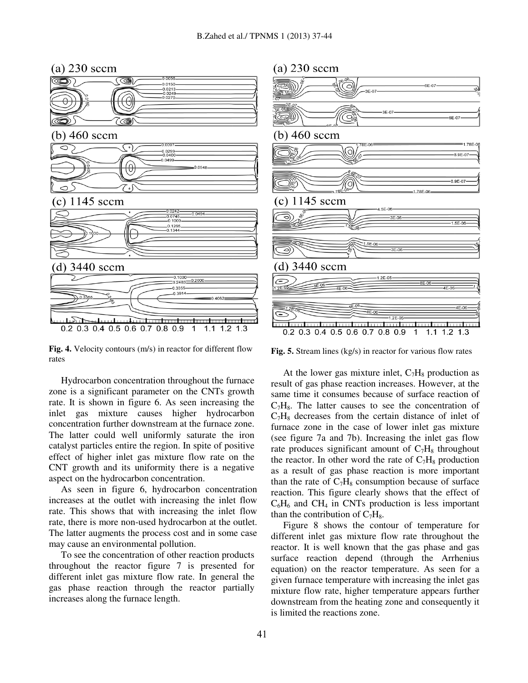

**Fig. 4.** Velocity contours (m/s) in reactor for different flow rates

Hydrocarbon concentration throughout the furnace zone is a significant parameter on the CNTs growth rate. It is shown in figure 6. As seen increasing the inlet gas mixture causes higher hydrocarbon concentration further downstream at the furnace zone. The latter could well uniformly saturate the iron catalyst particles entire the region. In spite of positive effect of higher inlet gas mixture flow rate on the CNT growth and its uniformity there is a negative aspect on the hydrocarbon concentration.

As seen in figure 6, hydrocarbon concentration increases at the outlet with increasing the inlet flow rate. This shows that with increasing the inlet flow rate, there is more non-used hydrocarbon at the outlet. The latter augments the process cost and in some case may cause an environmental pollution.

To see the concentration of other reaction products throughout the reactor figure 7 is presented for different inlet gas mixture flow rate. In general the gas phase reaction through the reactor partially increases along the furnace length.

# $(a)$  230 sccm



**Fig. 5.** Stream lines (kg/s) in reactor for various flow rates

At the lower gas mixture inlet,  $C_7H_8$  production as result of gas phase reaction increases. However, at the same time it consumes because of surface reaction of  $C_7H_8$ . The latter causes to see the concentration of  $C_7H_8$  decreases from the certain distance of inlet of furnace zone in the case of lower inlet gas mixture (see figure 7a and 7b). Increasing the inlet gas flow rate produces significant amount of  $C_7H_8$  throughout the reactor. In other word the rate of  $C_7H_8$  production as a result of gas phase reaction is more important than the rate of  $C_7H_8$  consumption because of surface reaction. This figure clearly shows that the effect of  $C_6H_6$  and CH<sub>4</sub> in CNTs production is less important than the contribution of  $C_7H_8$ .

Figure 8 shows the contour of temperature for different inlet gas mixture flow rate throughout the reactor. It is well known that the gas phase and gas surface reaction depend (through the Arrhenius equation) on the reactor temperature. As seen for a given furnace temperature with increasing the inlet gas mixture flow rate, higher temperature appears further downstream from the heating zone and consequently it is limited the reactions zone.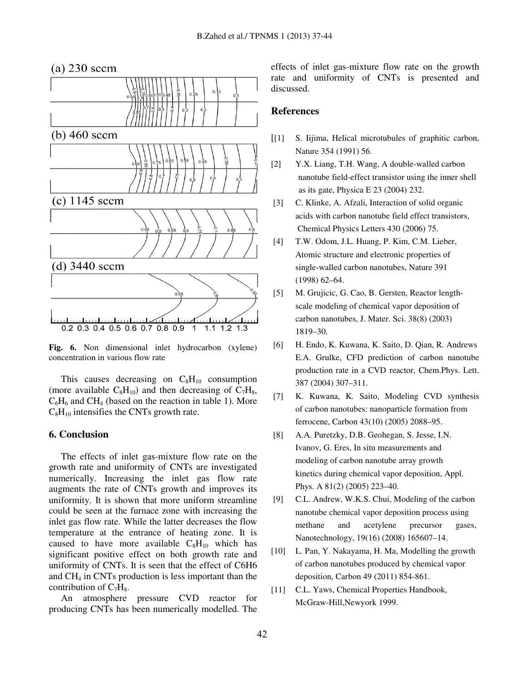

**Fig. 6.** Non dimensional inlet hydrocarbon (xylene) concentration in various flow rate

This causes decreasing on  $C_8H_{10}$  consumption (more available  $C_8H_{10}$ ) and then decreasing of  $C_7H_8$ ,  $C_6H_6$  and CH<sub>4</sub> (based on the reaction in table 1). More  $C_8H_{10}$  intensifies the CNTs growth rate.

## **6. Conclusion**

The effects of inlet gas-mixture flow rate on the growth rate and uniformity of CNTs are investigated numerically. Increasing the inlet gas flow rate augments the rate of CNTs growth and improves its uniformity. It is shown that more uniform streamline could be seen at the furnace zone with increasing the inlet gas flow rate. While the latter decreases the flow temperature at the entrance of heating zone. It is caused to have more available  $C_8H_{10}$  which has significant positive effect on both growth rate and uniformity of CNTs. It is seen that the effect of C6H6 and CH4 in CNTs production is less important than the contribution of  $C_7H_8$ .

An atmosphere pressure CVD reactor for producing CNTs has been numerically modelled. The

effects of inlet gas-mixture flow rate on the growth rate and uniformity of CNTs is presented and discussed.

# **References**

- [[1] S. Iijima, Helical microtubules of graphitic carbon, Nature 354 (1991) 56.
- [2] Y.X. Liang, T.H. Wang, A double-walled carbon nanotube field-effect transistor using the inner shell as its gate, Physica E 23 (2004) 232.
- [3] C. Klinke, A. Afzali, Interaction of solid organic acids with carbon nanotube field effect transistors, Chemical Physics Letters 430 (2006) 75.
- [4] T.W. Odom, J.L. Huang, P. Kim, C.M. Lieber, Atomic structure and electronic properties of single-walled carbon nanotubes, Nature 391 (1998) 62–64.
- [5] M. Grujicic, G. Cao, B. Gersten, Reactor length scale modeling of chemical vapor deposition of carbon nanotubes, J. Mater. Sci. 38(8) (2003) 1819–30.
- [6] H. Endo, K. Kuwana, K. Saito, D. Qian, R. Andrews E.A. Grulke, CFD prediction of carbon nanotube production rate in a CVD reactor, Chem.Phys. Lett. 387 (2004) 307–311.
- [7] K. Kuwana, K. Saito, Modeling CVD synthesis of carbon nanotubes: nanoparticle formation from ferrocene, Carbon 43(10) (2005) 2088–95.
- [8] A.A. Puretzky, D.B. Geohegan, S. Jesse, I.N. Ivanov, G. Eres, In situ measurements and modeling of carbon nanotube array growth kinetics during chemical vapor deposition, Appl. Phys. A 81(2) (2005) 223–40.
- [9] C.L. Andrew, W.K.S. Chui, Modeling of the carbon nanotube chemical vapor deposition process using methane and acetylene precursor gases, Nanotechnology, 19(16) (2008) 165607–14.
- [10] L. Pan, Y. Nakayama, H. Ma, Modelling the growth of carbon nanotubes produced by chemical vapor deposition, Carbon 49 (2011) 854-861.
- [11] C.L. Yaws, Chemical Properties Handbook, McGraw-Hill,Newyork 1999.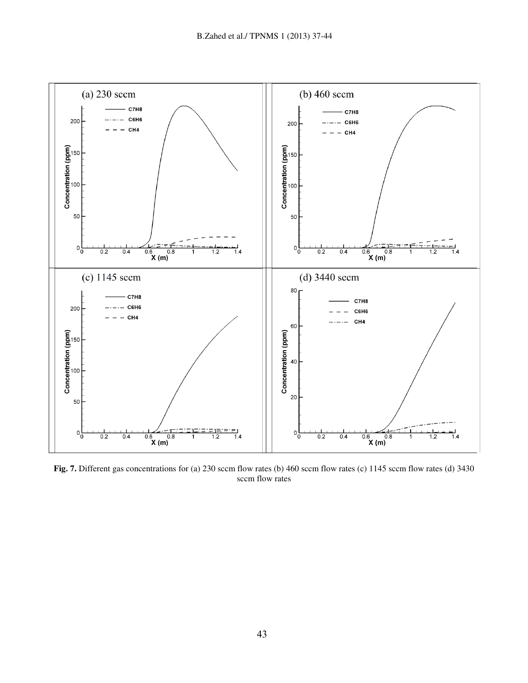

Fig. 7. Different gas concentrations for (a) 230 sccm flow rates (b) 460 sccm flow rates (c) 1145 sccm flow rates (d) 3430 sccm flow rates